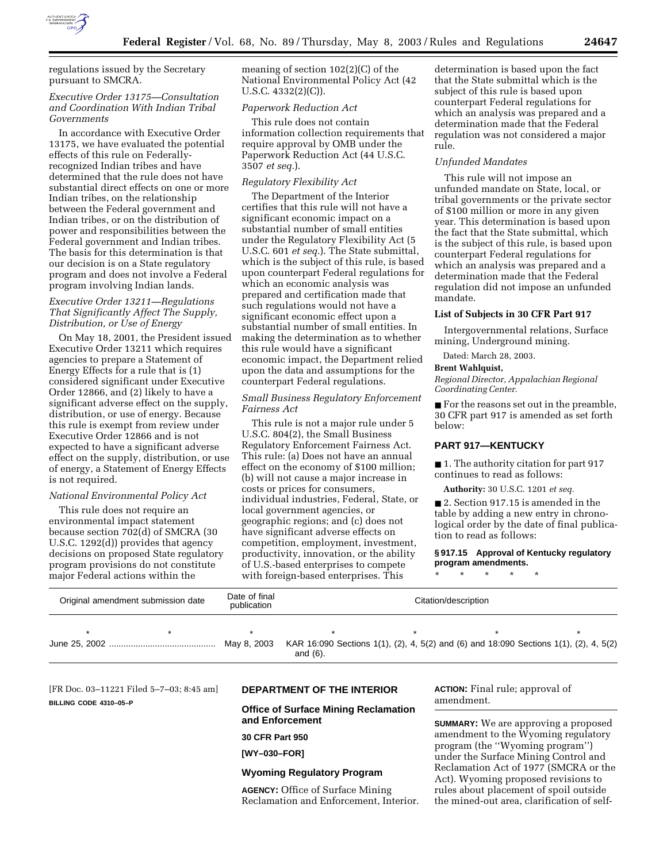

regulations issued by the Secretary pursuant to SMCRA.

## *Executive Order 13175—Consultation and Coordination With Indian Tribal Governments*

In accordance with Executive Order 13175, we have evaluated the potential effects of this rule on Federallyrecognized Indian tribes and have determined that the rule does not have substantial direct effects on one or more Indian tribes, on the relationship between the Federal government and Indian tribes, or on the distribution of power and responsibilities between the Federal government and Indian tribes. The basis for this determination is that our decision is on a State regulatory program and does not involve a Federal program involving Indian lands.

#### *Executive Order 13211—Regulations That Significantly Affect The Supply, Distribution, or Use of Energy*

On May 18, 2001, the President issued Executive Order 13211 which requires agencies to prepare a Statement of Energy Effects for a rule that is (1) considered significant under Executive Order 12866, and (2) likely to have a significant adverse effect on the supply, distribution, or use of energy. Because this rule is exempt from review under Executive Order 12866 and is not expected to have a significant adverse effect on the supply, distribution, or use of energy, a Statement of Energy Effects is not required.

# *National Environmental Policy Act*

This rule does not require an environmental impact statement because section 702(d) of SMCRA (30 U.S.C. 1292(d)) provides that agency decisions on proposed State regulatory program provisions do not constitute major Federal actions within the

meaning of section 102(2)(C) of the National Environmental Policy Act (42 U.S.C. 4332(2)(C)).

#### *Paperwork Reduction Act*

This rule does not contain information collection requirements that require approval by OMB under the Paperwork Reduction Act (44 U.S.C. 3507 *et seq.*).

#### *Regulatory Flexibility Act*

The Department of the Interior certifies that this rule will not have a significant economic impact on a substantial number of small entities under the Regulatory Flexibility Act (5 U.S.C. 601 *et seq.*). The State submittal, which is the subject of this rule, is based upon counterpart Federal regulations for which an economic analysis was prepared and certification made that such regulations would not have a significant economic effect upon a substantial number of small entities. In making the determination as to whether this rule would have a significant economic impact, the Department relied upon the data and assumptions for the counterpart Federal regulations.

### *Small Business Regulatory Enforcement Fairness Act*

This rule is not a major rule under 5 U.S.C. 804(2), the Small Business Regulatory Enforcement Fairness Act. This rule: (a) Does not have an annual effect on the economy of \$100 million; (b) will not cause a major increase in costs or prices for consumers, individual industries, Federal, State, or local government agencies, or geographic regions; and (c) does not have significant adverse effects on competition, employment, investment, productivity, innovation, or the ability of U.S.-based enterprises to compete with foreign-based enterprises. This

determination is based upon the fact that the State submittal which is the subject of this rule is based upon counterpart Federal regulations for which an analysis was prepared and a determination made that the Federal regulation was not considered a major rule.

#### *Unfunded Mandates*

This rule will not impose an unfunded mandate on State, local, or tribal governments or the private sector of \$100 million or more in any given year. This determination is based upon the fact that the State submittal, which is the subject of this rule, is based upon counterpart Federal regulations for which an analysis was prepared and a determination made that the Federal regulation did not impose an unfunded mandate.

#### **List of Subjects in 30 CFR Part 917**

Intergovernmental relations, Surface mining, Underground mining.

Dated: March 28, 2003.

### **Brent Wahlquist,**

*Regional Director, Appalachian Regional Coordinating Center.*

■ For the reasons set out in the preamble, 30 CFR part 917 is amended as set forth below:

# **PART 917—KENTUCKY**

■ 1. The authority citation for part 917 continues to read as follows:

**Authority:** 30 U.S.C. 1201 *et seq.*

■ 2. Section 917.15 is amended in the table by adding a new entry in chronological order by the date of final publication to read as follows:

## **§ 917.15 Approval of Kentucky regulatory program amendments.**

\* \* \* \* \*

| Original amendment submission date | Date of final<br>publication | Citation/description_ |
|------------------------------------|------------------------------|-----------------------|
|                                    |                              |                       |

|  |  | and $(6)$ . |  |  |  |
|--|--|-------------|--|--|--|

[FR Doc. 03–11221 Filed 5–7–03; 8:45 am] **BILLING CODE 4310–05–P**

# **DEPARTMENT OF THE INTERIOR**

**Office of Surface Mining Reclamation and Enforcement** 

# **30 CFR Part 950**

**[WY–030–FOR]** 

### **Wyoming Regulatory Program**

**AGENCY:** Office of Surface Mining Reclamation and Enforcement, Interior. **ACTION:** Final rule; approval of amendment.

**SUMMARY:** We are approving a proposed amendment to the Wyoming regulatory program (the ''Wyoming program'') under the Surface Mining Control and Reclamation Act of 1977 (SMCRA or the Act). Wyoming proposed revisions to rules about placement of spoil outside the mined-out area, clarification of self-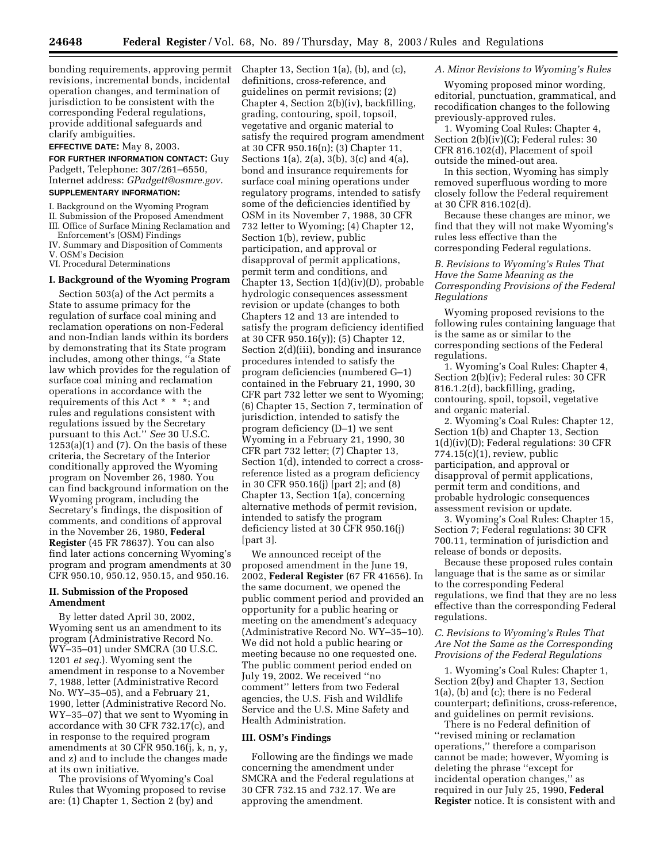bonding requirements, approving permit revisions, incremental bonds, incidental operation changes, and termination of jurisdiction to be consistent with the corresponding Federal regulations, provide additional safeguards and clarify ambiguities.

**EFFECTIVE DATE:** May 8, 2003.

**FOR FURTHER INFORMATION CONTACT:** Guy Padgett, Telephone: 307/261–6550, Internet address: *GPadgett@osmre.gov.*

# **SUPPLEMENTARY INFORMATION:**

- I. Background on the Wyoming Program
- II. Submission of the Proposed Amendment
- III. Office of Surface Mining Reclamation and
- Enforcement's (OSM) Findings
- IV. Summary and Disposition of Comments V. OSM's Decision
- VI. Procedural Determinations

### **I. Background of the Wyoming Program**

Section 503(a) of the Act permits a State to assume primacy for the regulation of surface coal mining and reclamation operations on non-Federal and non-Indian lands within its borders by demonstrating that its State program includes, among other things, ''a State law which provides for the regulation of surface coal mining and reclamation operations in accordance with the requirements of this Act \* \* \*; and rules and regulations consistent with regulations issued by the Secretary pursuant to this Act.'' *See* 30 U.S.C.  $1253(a)(1)$  and  $(7)$ . On the basis of these criteria, the Secretary of the Interior conditionally approved the Wyoming program on November 26, 1980. You can find background information on the Wyoming program, including the Secretary's findings, the disposition of comments, and conditions of approval in the November 26, 1980, **Federal Register** (45 FR 78637). You can also find later actions concerning Wyoming's program and program amendments at 30 CFR 950.10, 950.12, 950.15, and 950.16.

## **II. Submission of the Proposed Amendment**

By letter dated April 30, 2002, Wyoming sent us an amendment to its program (Administrative Record No. WY–35–01) under SMCRA (30 U.S.C. 1201 *et seq.*). Wyoming sent the amendment in response to a November 7, 1988, letter (Administrative Record No. WY–35–05), and a February 21, 1990, letter (Administrative Record No. WY–35–07) that we sent to Wyoming in accordance with 30 CFR 732.17(c), and in response to the required program amendments at 30 CFR 950.16(j, k, n, y, and z) and to include the changes made at its own initiative.

The provisions of Wyoming's Coal Rules that Wyoming proposed to revise are: (1) Chapter 1, Section 2 (by) and

Chapter 13, Section 1(a), (b), and (c), definitions, cross-reference, and guidelines on permit revisions; (2) Chapter 4, Section 2(b)(iv), backfilling, grading, contouring, spoil, topsoil, vegetative and organic material to satisfy the required program amendment at 30 CFR 950.16(n); (3) Chapter 11, Sections 1(a), 2(a), 3(b), 3(c) and 4(a), bond and insurance requirements for surface coal mining operations under regulatory programs, intended to satisfy some of the deficiencies identified by OSM in its November 7, 1988, 30 CFR 732 letter to Wyoming; (4) Chapter 12, Section 1(b), review, public participation, and approval or disapproval of permit applications, permit term and conditions, and Chapter 13, Section 1(d)(iv)(D), probable hydrologic consequences assessment revision or update (changes to both Chapters 12 and 13 are intended to satisfy the program deficiency identified at 30 CFR 950.16(y)); (5) Chapter 12, Section 2(d)(iii), bonding and insurance procedures intended to satisfy the program deficiencies (numbered G–1) contained in the February 21, 1990, 30 CFR part 732 letter we sent to Wyoming; (6) Chapter 15, Section 7, termination of jurisdiction, intended to satisfy the program deficiency (D–1) we sent Wyoming in a February 21, 1990, 30 CFR part 732 letter; (7) Chapter 13, Section 1(d), intended to correct a crossreference listed as a program deficiency in 30 CFR 950.16(j) [part 2]; and (8) Chapter 13, Section 1(a), concerning alternative methods of permit revision, intended to satisfy the program deficiency listed at 30 CFR 950.16(j) [part 3].

We announced receipt of the proposed amendment in the June 19, 2002, **Federal Register** (67 FR 41656). In the same document, we opened the public comment period and provided an opportunity for a public hearing or meeting on the amendment's adequacy (Administrative Record No. WY–35–10). We did not hold a public hearing or meeting because no one requested one. The public comment period ended on July 19, 2002. We received ''no comment'' letters from two Federal agencies, the U.S. Fish and Wildlife Service and the U.S. Mine Safety and Health Administration.

#### **III. OSM's Findings**

Following are the findings we made concerning the amendment under SMCRA and the Federal regulations at 30 CFR 732.15 and 732.17. We are approving the amendment.

## *A. Minor Revisions to Wyoming's Rules*

Wyoming proposed minor wording, editorial, punctuation, grammatical, and recodification changes to the following previously-approved rules.

1. Wyoming Coal Rules: Chapter 4, Section 2(b)(iv)(C); Federal rules: 30 CFR 816.102(d), Placement of spoil outside the mined-out area.

In this section, Wyoming has simply removed superfluous wording to more closely follow the Federal requirement at 30 CFR 816.102(d).

Because these changes are minor, we find that they will not make Wyoming's rules less effective than the corresponding Federal regulations.

## *B. Revisions to Wyoming's Rules That Have the Same Meaning as the Corresponding Provisions of the Federal Regulations*

Wyoming proposed revisions to the following rules containing language that is the same as or similar to the corresponding sections of the Federal regulations.

1. Wyoming's Coal Rules: Chapter 4, Section 2(b)(iv); Federal rules: 30 CFR 816.1.2(d), backfilling, grading, contouring, spoil, topsoil, vegetative and organic material.

2. Wyoming's Coal Rules: Chapter 12, Section 1(b) and Chapter 13, Section 1(d)(iv)(D); Federal regulations: 30 CFR 774.15(c)(1), review, public participation, and approval or disapproval of permit applications, permit term and conditions, and probable hydrologic consequences assessment revision or update.

3. Wyoming's Coal Rules: Chapter 15, Section 7; Federal regulations: 30 CFR 700.11, termination of jurisdiction and release of bonds or deposits.

Because these proposed rules contain language that is the same as or similar to the corresponding Federal regulations, we find that they are no less effective than the corresponding Federal regulations.

#### *C. Revisions to Wyoming's Rules That Are Not the Same as the Corresponding Provisions of the Federal Regulations*

1. Wyoming's Coal Rules: Chapter 1, Section 2(by) and Chapter 13, Section 1(a), (b) and (c); there is no Federal counterpart; definitions, cross-reference, and guidelines on permit revisions.

There is no Federal definition of ''revised mining or reclamation operations,'' therefore a comparison cannot be made; however, Wyoming is deleting the phrase ''except for incidental operation changes,'' as required in our July 25, 1990, **Federal Register** notice. It is consistent with and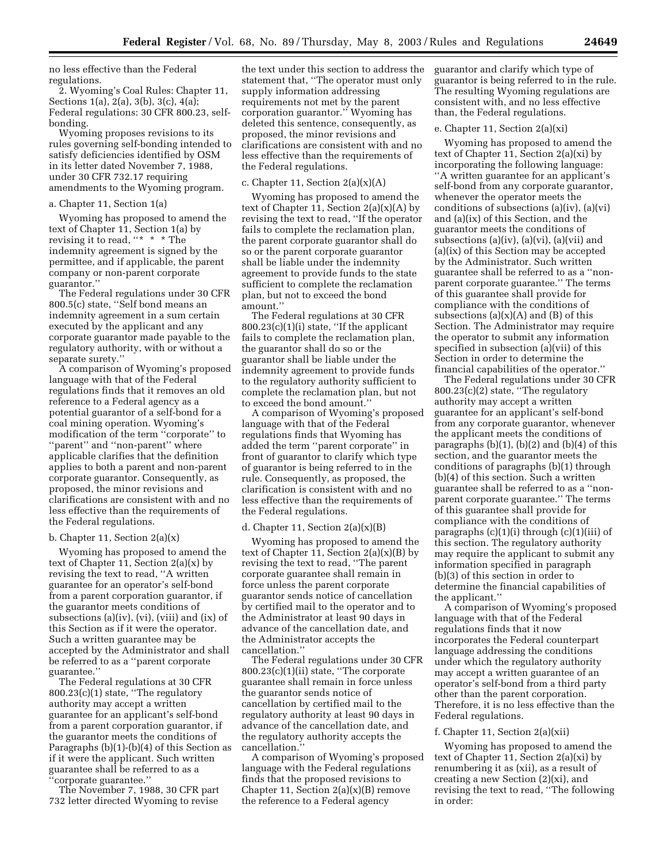no less effective than the Federal regulations.

2. Wyoming's Coal Rules: Chapter 11, Sections 1(a), 2(a), 3(b), 3(c), 4(a); Federal regulations: 30 CFR 800.23, selfbonding.

Wyoming proposes revisions to its rules governing self-bonding intended to satisfy deficiencies identified by OSM in its letter dated November 7, 1988, under 30 CFR 732.17 requiring amendments to the Wyoming program.

#### a. Chapter 11, Section 1(a)

Wyoming has proposed to amend the text of Chapter 11, Section 1(a) by revising it to read, "\* \* \* The indemnity agreement is signed by the permittee, and if applicable, the parent company or non-parent corporate guarantor.''

The Federal regulations under 30 CFR 800.5(c) state, ''Self bond means an indemnity agreement in a sum certain executed by the applicant and any corporate guarantor made payable to the regulatory authority, with or without a separate surety.''

A comparison of Wyoming's proposed language with that of the Federal regulations finds that it removes an old reference to a Federal agency as a potential guarantor of a self-bond for a coal mining operation. Wyoming's modification of the term ''corporate'' to ''parent'' and ''non-parent'' where applicable clarifies that the definition applies to both a parent and non-parent corporate guarantor. Consequently, as proposed, the minor revisions and clarifications are consistent with and no less effective than the requirements of the Federal regulations.

#### b. Chapter 11, Section 2(a)(x)

Wyoming has proposed to amend the text of Chapter 11, Section  $2(a)(x)$  by revising the text to read, ''A written guarantee for an operator's self-bond from a parent corporation guarantor, if the guarantor meets conditions of subsections (a)(iv), (vi), (viii) and (ix) of this Section as if it were the operator. Such a written guarantee may be accepted by the Administrator and shall be referred to as a ''parent corporate guarantee.''

The Federal regulations at 30 CFR 800.23(c)(1) state, ''The regulatory authority may accept a written guarantee for an applicant's self-bond from a parent corporation guarantor, if the guarantor meets the conditions of Paragraphs (b)(1)-(b)(4) of this Section as if it were the applicant. Such written guarantee shall be referred to as a ''corporate guarantee.''

The November 7, 1988, 30 CFR part 732 letter directed Wyoming to revise

the text under this section to address the statement that, ''The operator must only supply information addressing requirements not met by the parent corporation guarantor.'' Wyoming has deleted this sentence, consequently, as proposed, the minor revisions and clarifications are consistent with and no less effective than the requirements of the Federal regulations.

#### c. Chapter 11, Section  $2(a)(x)(A)$

Wyoming has proposed to amend the text of Chapter 11, Section  $2(a)(x)(A)$  by revising the text to read, ''If the operator fails to complete the reclamation plan, the parent corporate guarantor shall do so or the parent corporate guarantor shall be liable under the indemnity agreement to provide funds to the state sufficient to complete the reclamation plan, but not to exceed the bond amount.''

The Federal regulations at 30 CFR 800.23(c)(1)(i) state, ''If the applicant fails to complete the reclamation plan, the guarantor shall do so or the guarantor shall be liable under the indemnity agreement to provide funds to the regulatory authority sufficient to complete the reclamation plan, but not to exceed the bond amount.''

A comparison of Wyoming's proposed language with that of the Federal regulations finds that Wyoming has added the term ''parent corporate'' in front of guarantor to clarify which type of guarantor is being referred to in the rule. Consequently, as proposed, the clarification is consistent with and no less effective than the requirements of the Federal regulations.

#### d. Chapter 11, Section  $2(a)(x)(B)$

Wyoming has proposed to amend the text of Chapter 11, Section  $2(a)(x)(B)$  by revising the text to read, ''The parent corporate guarantee shall remain in force unless the parent corporate guarantor sends notice of cancellation by certified mail to the operator and to the Administrator at least 90 days in advance of the cancellation date, and the Administrator accepts the cancellation.''

The Federal regulations under 30 CFR 800.23(c)(1)(ii) state, ''The corporate guarantee shall remain in force unless the guarantor sends notice of cancellation by certified mail to the regulatory authority at least 90 days in advance of the cancellation date, and the regulatory authority accepts the cancellation.''

A comparison of Wyoming's proposed language with the Federal regulations finds that the proposed revisions to Chapter 11, Section  $2(a)(x)(B)$  remove the reference to a Federal agency

guarantor and clarify which type of guarantor is being referred to in the rule. The resulting Wyoming regulations are consistent with, and no less effective than, the Federal regulations.

#### e. Chapter 11, Section 2(a)(xi)

Wyoming has proposed to amend the text of Chapter 11, Section 2(a)(xi) by incorporating the following language: ''A written guarantee for an applicant's self-bond from any corporate guarantor, whenever the operator meets the conditions of subsections (a)(iv), (a)(vi) and (a)(ix) of this Section, and the guarantor meets the conditions of subsections (a)(iv), (a)(vi), (a)(vii) and (a)(ix) of this Section may be accepted by the Administrator. Such written guarantee shall be referred to as a ''nonparent corporate guarantee.'' The terms of this guarantee shall provide for compliance with the conditions of subsections  $(a)(x)(A)$  and  $(B)$  of this Section. The Administrator may require the operator to submit any information specified in subsection (a)(vii) of this Section in order to determine the financial capabilities of the operator.''

The Federal regulations under 30 CFR 800.23(c)(2) state, ''The regulatory authority may accept a written guarantee for an applicant's self-bond from any corporate guarantor, whenever the applicant meets the conditions of paragraphs  $(b)(1)$ ,  $(b)(2)$  and  $(b)(4)$  of this section, and the guarantor meets the conditions of paragraphs (b)(1) through (b)(4) of this section. Such a written guarantee shall be referred to as a ''nonparent corporate guarantee.'' The terms of this guarantee shall provide for compliance with the conditions of paragraphs (c)(1)(i) through (c)(1)(iii) of this section. The regulatory authority may require the applicant to submit any information specified in paragraph (b)(3) of this section in order to determine the financial capabilities of the applicant.''

A comparison of Wyoming's proposed language with that of the Federal regulations finds that it now incorporates the Federal counterpart language addressing the conditions under which the regulatory authority may accept a written guarantee of an operator's self-bond from a third party other than the parent corporation. Therefore, it is no less effective than the Federal regulations.

### f. Chapter 11, Section 2(a)(xii)

Wyoming has proposed to amend the text of Chapter 11, Section 2(a)(xi) by renumbering it as (xii), as a result of creating a new Section (2)(xi), and revising the text to read, ''The following in order: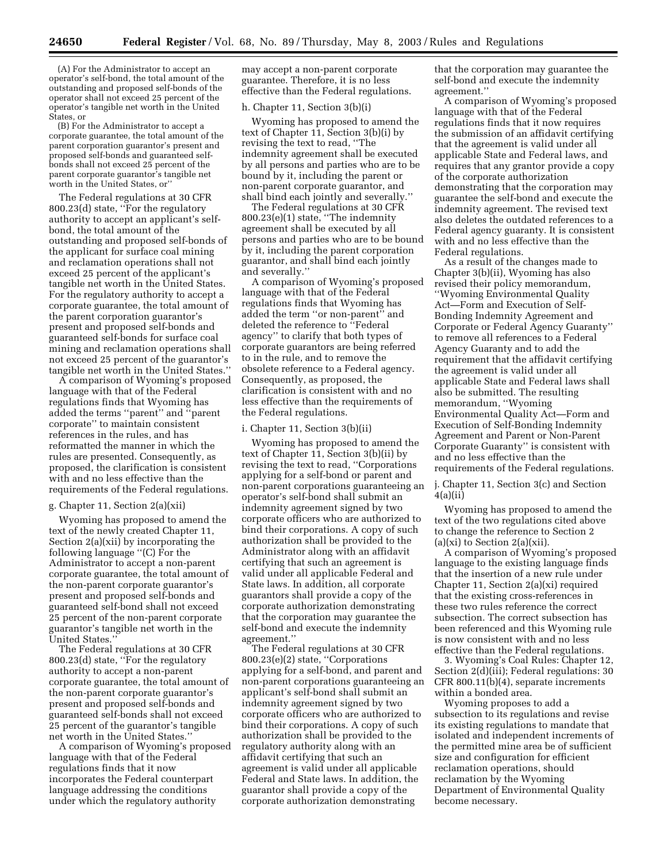(A) For the Administrator to accept an operator's self-bond, the total amount of the outstanding and proposed self-bonds of the operator shall not exceed 25 percent of the operator's tangible net worth in the United States, or

(B) For the Administrator to accept a corporate guarantee, the total amount of the parent corporation guarantor's present and proposed self-bonds and guaranteed selfbonds shall not exceed 25 percent of the parent corporate guarantor's tangible net worth in the United States, or''

The Federal regulations at 30 CFR 800.23(d) state, ''For the regulatory authority to accept an applicant's selfbond, the total amount of the outstanding and proposed self-bonds of the applicant for surface coal mining and reclamation operations shall not exceed 25 percent of the applicant's tangible net worth in the United States. For the regulatory authority to accept a corporate guarantee, the total amount of the parent corporation guarantor's present and proposed self-bonds and guaranteed self-bonds for surface coal mining and reclamation operations shall not exceed 25 percent of the guarantor's tangible net worth in the United States.''

A comparison of Wyoming's proposed language with that of the Federal regulations finds that Wyoming has added the terms ''parent'' and ''parent corporate'' to maintain consistent references in the rules, and has reformatted the manner in which the rules are presented. Consequently, as proposed, the clarification is consistent with and no less effective than the requirements of the Federal regulations.

#### g. Chapter 11, Section 2(a)(xii)

Wyoming has proposed to amend the text of the newly created Chapter 11, Section 2(a)(xii) by incorporating the following language ''(C) For the Administrator to accept a non-parent corporate guarantee, the total amount of the non-parent corporate guarantor's present and proposed self-bonds and guaranteed self-bond shall not exceed 25 percent of the non-parent corporate guarantor's tangible net worth in the United States.''

The Federal regulations at 30 CFR 800.23(d) state, ''For the regulatory authority to accept a non-parent corporate guarantee, the total amount of the non-parent corporate guarantor's present and proposed self-bonds and guaranteed self-bonds shall not exceed 25 percent of the guarantor's tangible net worth in the United States.''

A comparison of Wyoming's proposed language with that of the Federal regulations finds that it now incorporates the Federal counterpart language addressing the conditions under which the regulatory authority

may accept a non-parent corporate guarantee. Therefore, it is no less effective than the Federal regulations.

### h. Chapter 11, Section 3(b)(i)

Wyoming has proposed to amend the text of Chapter 11, Section 3(b)(i) by revising the text to read, ''The indemnity agreement shall be executed by all persons and parties who are to be bound by it, including the parent or non-parent corporate guarantor, and shall bind each jointly and severally.''

The Federal regulations at 30 CFR 800.23(e)(1) state, ''The indemnity agreement shall be executed by all persons and parties who are to be bound by it, including the parent corporation guarantor, and shall bind each jointly and severally.''

A comparison of Wyoming's proposed language with that of the Federal regulations finds that Wyoming has added the term ''or non-parent'' and deleted the reference to ''Federal agency'' to clarify that both types of corporate guarantors are being referred to in the rule, and to remove the obsolete reference to a Federal agency. Consequently, as proposed, the clarification is consistent with and no less effective than the requirements of the Federal regulations.

#### i. Chapter 11, Section 3(b)(ii)

Wyoming has proposed to amend the text of Chapter 11, Section 3(b)(ii) by revising the text to read, ''Corporations applying for a self-bond or parent and non-parent corporations guaranteeing an operator's self-bond shall submit an indemnity agreement signed by two corporate officers who are authorized to bind their corporations. A copy of such authorization shall be provided to the Administrator along with an affidavit certifying that such an agreement is valid under all applicable Federal and State laws. In addition, all corporate guarantors shall provide a copy of the corporate authorization demonstrating that the corporation may guarantee the self-bond and execute the indemnity agreement.''

The Federal regulations at 30 CFR 800.23(e)(2) state, ''Corporations applying for a self-bond, and parent and non-parent corporations guaranteeing an applicant's self-bond shall submit an indemnity agreement signed by two corporate officers who are authorized to bind their corporations. A copy of such authorization shall be provided to the regulatory authority along with an affidavit certifying that such an agreement is valid under all applicable Federal and State laws. In addition, the guarantor shall provide a copy of the corporate authorization demonstrating

that the corporation may guarantee the self-bond and execute the indemnity agreement.''

A comparison of Wyoming's proposed language with that of the Federal regulations finds that it now requires the submission of an affidavit certifying that the agreement is valid under all applicable State and Federal laws, and requires that any grantor provide a copy of the corporate authorization demonstrating that the corporation may guarantee the self-bond and execute the indemnity agreement. The revised text also deletes the outdated references to a Federal agency guaranty. It is consistent with and no less effective than the Federal regulations.

As a result of the changes made to Chapter 3(b)(ii), Wyoming has also revised their policy memorandum, ''Wyoming Environmental Quality Act—Form and Execution of Self-Bonding Indemnity Agreement and Corporate or Federal Agency Guaranty'' to remove all references to a Federal Agency Guaranty and to add the requirement that the affidavit certifying the agreement is valid under all applicable State and Federal laws shall also be submitted. The resulting memorandum, ''Wyoming Environmental Quality Act—Form and Execution of Self-Bonding Indemnity Agreement and Parent or Non-Parent Corporate Guaranty'' is consistent with and no less effective than the requirements of the Federal regulations.

j. Chapter 11, Section 3(c) and Section 4(a)(ii)

Wyoming has proposed to amend the text of the two regulations cited above to change the reference to Section 2  $(a)(xi)$  to Section 2 $(a)(xii)$ .

A comparison of Wyoming's proposed language to the existing language finds that the insertion of a new rule under Chapter 11, Section 2(a)(xi) required that the existing cross-references in these two rules reference the correct subsection. The correct subsection has been referenced and this Wyoming rule is now consistent with and no less effective than the Federal regulations.

3. Wyoming's Coal Rules: Chapter 12, Section 2(d)(iii); Federal regulations: 30 CFR 800.11(b)(4), separate increments within a bonded area.

Wyoming proposes to add a subsection to its regulations and revise its existing regulations to mandate that isolated and independent increments of the permitted mine area be of sufficient size and configuration for efficient reclamation operations, should reclamation by the Wyoming Department of Environmental Quality become necessary.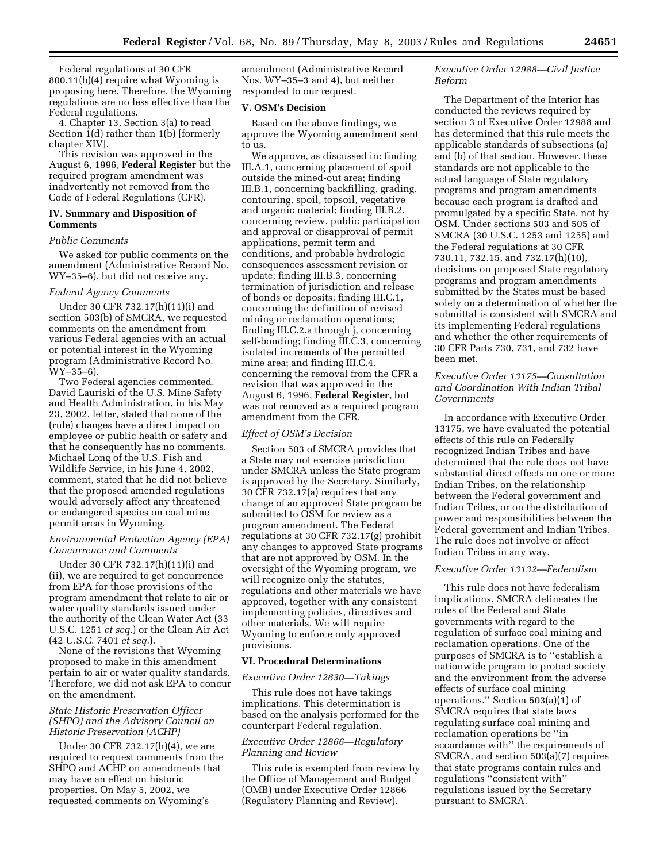Federal regulations at 30 CFR 800.11(b)(4) require what Wyoming is proposing here. Therefore, the Wyoming regulations are no less effective than the Federal regulations.

4. Chapter 13, Section 3(a) to read Section 1(d) rather than 1(b) [formerly chapter XIV].

This revision was approved in the August 6, 1996, **Federal Register** but the required program amendment was inadvertently not removed from the Code of Federal Regulations (CFR).

### **IV. Summary and Disposition of Comments**

#### *Public Comments*

We asked for public comments on the amendment (Administrative Record No. WY–35–6), but did not receive any.

#### *Federal Agency Comments*

Under 30 CFR 732.17(h)(11)(i) and section 503(b) of SMCRA, we requested comments on the amendment from various Federal agencies with an actual or potential interest in the Wyoming program (Administrative Record No. WY–35–6).

Two Federal agencies commented. David Lauriski of the U.S. Mine Safety and Health Administration, in his May 23, 2002, letter, stated that none of the (rule) changes have a direct impact on employee or public health or safety and that he consequently has no comments. Michael Long of the U.S. Fish and Wildlife Service, in his June 4, 2002, comment, stated that he did not believe that the proposed amended regulations would adversely affect any threatened or endangered species on coal mine permit areas in Wyoming.

## *Environmental Protection Agency (EPA) Concurrence and Comments*

Under 30 CFR 732.17(h)(11)(i) and (ii), we are required to get concurrence from EPA for those provisions of the program amendment that relate to air or water quality standards issued under the authority of the Clean Water Act (33 U.S.C. 1251 *et seq.*) or the Clean Air Act (42 U.S.C. 7401 *et seq.*).

None of the revisions that Wyoming proposed to make in this amendment pertain to air or water quality standards. Therefore, we did not ask EPA to concur on the amendment.

## *State Historic Preservation Officer (SHPO) and the Advisory Council on Historic Preservation (ACHP)*

Under 30 CFR 732.17(h)(4), we are required to request comments from the SHPO and ACHP on amendments that may have an effect on historic properties. On May 5, 2002, we requested comments on Wyoming's

amendment (Administrative Record Nos. WY–35–3 and 4), but neither responded to our request.

## **V. OSM's Decision**

Based on the above findings, we approve the Wyoming amendment sent to us.

We approve, as discussed in: finding III.A.1, concerning placement of spoil outside the mined-out area; finding III.B.1, concerning backfilling, grading, contouring, spoil, topsoil, vegetative and organic material; finding III.B.2, concerning review, public participation and approval or disapproval of permit applications, permit term and conditions, and probable hydrologic consequences assessment revision or update; finding III.B.3, concerning termination of jurisdiction and release of bonds or deposits; finding III.C.1, concerning the definition of revised mining or reclamation operations; finding III.C.2.a through j, concerning self-bonding; finding III.C.3, concerning isolated increments of the permitted mine area; and finding III.C.4, concerning the removal from the CFR a revision that was approved in the August 6, 1996, **Federal Register**, but was not removed as a required program amendment from the CFR.

### *Effect of OSM's Decision*

Section 503 of SMCRA provides that a State may not exercise jurisdiction under SMCRA unless the State program is approved by the Secretary. Similarly, 30 CFR 732.17(a) requires that any change of an approved State program be submitted to OSM for review as a program amendment. The Federal regulations at 30 CFR 732.17(g) prohibit any changes to approved State programs that are not approved by OSM. In the oversight of the Wyoming program, we will recognize only the statutes, regulations and other materials we have approved, together with any consistent implementing policies, directives and other materials. We will require Wyoming to enforce only approved provisions.

#### **VI. Procedural Determinations**

#### *Executive Order 12630—Takings*

This rule does not have takings implications. This determination is based on the analysis performed for the counterpart Federal regulation.

# *Executive Order 12866—Regulatory Planning and Review*

This rule is exempted from review by the Office of Management and Budget (OMB) under Executive Order 12866 (Regulatory Planning and Review).

## *Executive Order 12988—Civil Justice Reform*

The Department of the Interior has conducted the reviews required by section 3 of Executive Order 12988 and has determined that this rule meets the applicable standards of subsections (a) and (b) of that section. However, these standards are not applicable to the actual language of State regulatory programs and program amendments because each program is drafted and promulgated by a specific State, not by OSM. Under sections 503 and 505 of SMCRA (30 U.S.C. 1253 and 1255) and the Federal regulations at 30 CFR 730.11, 732.15, and 732.17(h)(10), decisions on proposed State regulatory programs and program amendments submitted by the States must be based solely on a determination of whether the submittal is consistent with SMCRA and its implementing Federal regulations and whether the other requirements of 30 CFR Parts 730, 731, and 732 have been met.

# *Executive Order 13175—Consultation and Coordination With Indian Tribal Governments*

In accordance with Executive Order 13175, we have evaluated the potential effects of this rule on Federally recognized Indian Tribes and have determined that the rule does not have substantial direct effects on one or more Indian Tribes, on the relationship between the Federal government and Indian Tribes, or on the distribution of power and responsibilities between the Federal government and Indian Tribes. The rule does not involve or affect Indian Tribes in any way.

# *Executive Order 13132—Federalism*

This rule does not have federalism implications. SMCRA delineates the roles of the Federal and State governments with regard to the regulation of surface coal mining and reclamation operations. One of the purposes of SMCRA is to ''establish a nationwide program to protect society and the environment from the adverse effects of surface coal mining operations.'' Section 503(a)(1) of SMCRA requires that state laws regulating surface coal mining and reclamation operations be ''in accordance with'' the requirements of SMCRA, and section 503(a)(7) requires that state programs contain rules and regulations ''consistent with'' regulations issued by the Secretary pursuant to SMCRA.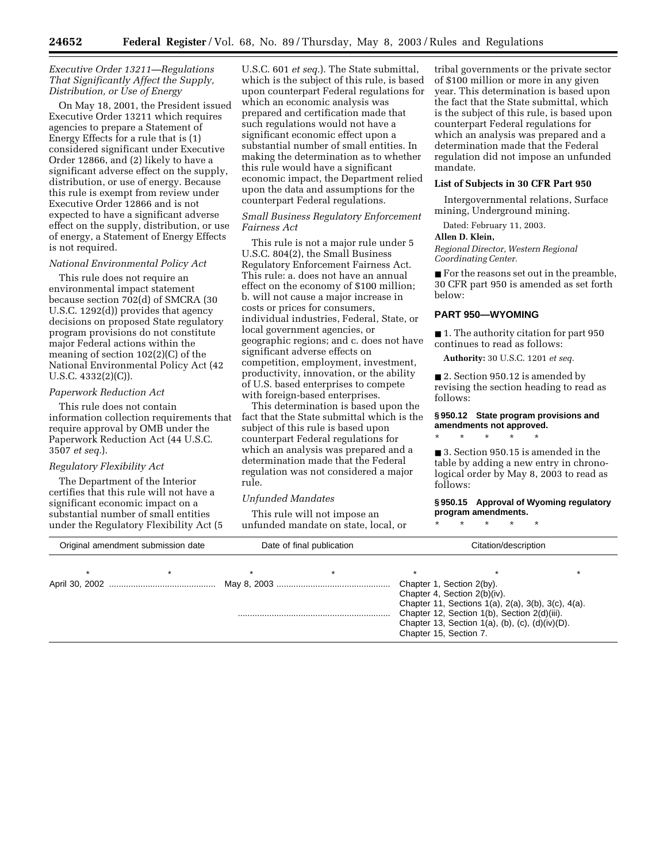#### *Executive Order 13211—Regulations That Significantly Affect the Supply, Distribution, or Use of Energy*

On May 18, 2001, the President issued Executive Order 13211 which requires agencies to prepare a Statement of Energy Effects for a rule that is (1) considered significant under Executive Order 12866, and (2) likely to have a significant adverse effect on the supply, distribution, or use of energy. Because this rule is exempt from review under Executive Order 12866 and is not expected to have a significant adverse effect on the supply, distribution, or use of energy, a Statement of Energy Effects is not required.

### *National Environmental Policy Act*

This rule does not require an environmental impact statement because section 702(d) of SMCRA (30 U.S.C. 1292(d)) provides that agency decisions on proposed State regulatory program provisions do not constitute major Federal actions within the meaning of section 102(2)(C) of the National Environmental Policy Act (42 U.S.C. 4332(2)(C)).

### *Paperwork Reduction Act*

This rule does not contain information collection requirements that require approval by OMB under the Paperwork Reduction Act (44 U.S.C. 3507 *et seq.*).

#### *Regulatory Flexibility Act*

The Department of the Interior certifies that this rule will not have a significant economic impact on a substantial number of small entities under the Regulatory Flexibility Act (5

U.S.C. 601 *et seq.*). The State submittal, which is the subject of this rule, is based upon counterpart Federal regulations for which an economic analysis was prepared and certification made that such regulations would not have a significant economic effect upon a substantial number of small entities. In making the determination as to whether this rule would have a significant economic impact, the Department relied upon the data and assumptions for the counterpart Federal regulations.

# *Small Business Regulatory Enforcement Fairness Act*

This rule is not a major rule under 5 U.S.C. 804(2), the Small Business Regulatory Enforcement Fairness Act. This rule: a. does not have an annual effect on the economy of \$100 million; b. will not cause a major increase in costs or prices for consumers, individual industries, Federal, State, or local government agencies, or geographic regions; and c. does not have significant adverse effects on competition, employment, investment, productivity, innovation, or the ability of U.S. based enterprises to compete with foreign-based enterprises.

This determination is based upon the fact that the State submittal which is the subject of this rule is based upon counterpart Federal regulations for which an analysis was prepared and a determination made that the Federal regulation was not considered a major rule.

#### *Unfunded Mandates*

This rule will not impose an unfunded mandate on state, local, or

tribal governments or the private sector of \$100 million or more in any given year. This determination is based upon the fact that the State submittal, which is the subject of this rule, is based upon counterpart Federal regulations for which an analysis was prepared and a determination made that the Federal regulation did not impose an unfunded mandate.

#### **List of Subjects in 30 CFR Part 950**

Intergovernmental relations, Surface mining, Underground mining.

Dated: February 11, 2003.

#### **Allen D. Klein,**

*Regional Director, Western Regional Coordinating Center.*

■ For the reasons set out in the preamble, 30 CFR part 950 is amended as set forth below:

#### **PART 950—WYOMING**

■ 1. The authority citation for part 950 continues to read as follows:

**Authority:** 30 U.S.C. 1201 *et seq.*

■ 2. Section 950.12 is amended by revising the section heading to read as follows:

#### **§ 950.12 State program provisions and amendments not approved.**

\* \* \* \* \*

■ 3. Section 950.15 is amended in the table by adding a new entry in chronological order by May 8, 2003 to read as follows:

# **§ 950.15 Approval of Wyoming regulatory program amendments.**

\* \* \* \* \*

| Original amendment submission date |  | Date of final publication |  | Citation/description                                                                                                                                                               |  |  |  |
|------------------------------------|--|---------------------------|--|------------------------------------------------------------------------------------------------------------------------------------------------------------------------------------|--|--|--|
|                                    |  |                           |  |                                                                                                                                                                                    |  |  |  |
|                                    |  |                           |  | Chapter 1, Section 2(by).<br>Chapter 4, Section 2(b)(iv).                                                                                                                          |  |  |  |
|                                    |  |                           |  | Chapter 11, Sections 1(a), 2(a), 3(b), 3(c), 4(a).<br>Chapter 12, Section 1(b), Section 2(d)(iii).<br>Chapter 13, Section 1(a), (b), (c), $(d)(iv)(D)$ .<br>Chapter 15, Section 7. |  |  |  |